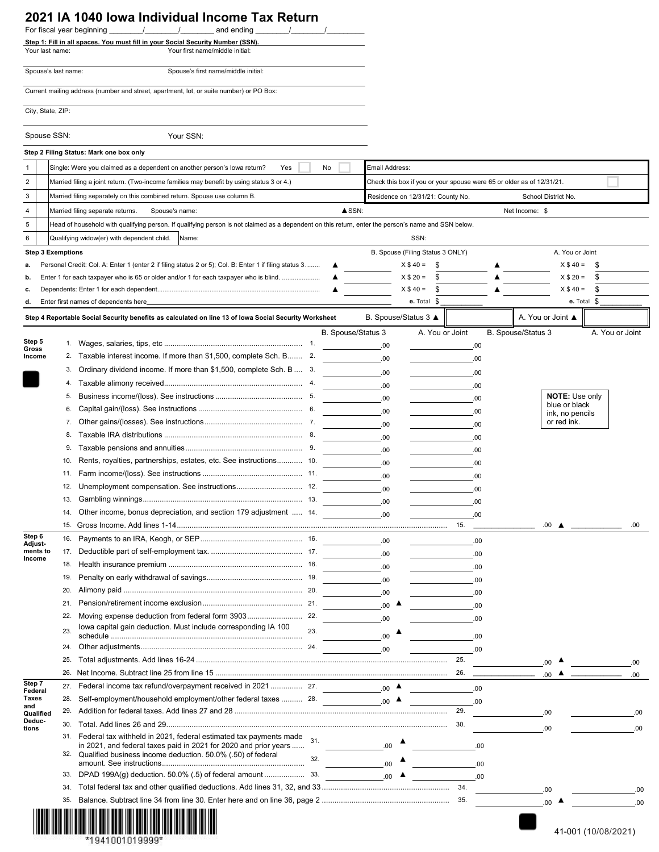## **2021 IA 1040 Iowa Individual Income Tax Return**

|                          |                                                                                                                                                                                   | $\frac{1}{2}$<br>For fiscal year beginning<br>$\sqrt{2}$<br>and ending<br>$\sqrt{2}$                                                                                                                     |                    |                                  |                                                                                         |                 |  |                    |                                        |                     |      |  |
|--------------------------|-----------------------------------------------------------------------------------------------------------------------------------------------------------------------------------|----------------------------------------------------------------------------------------------------------------------------------------------------------------------------------------------------------|--------------------|----------------------------------|-----------------------------------------------------------------------------------------|-----------------|--|--------------------|----------------------------------------|---------------------|------|--|
|                          |                                                                                                                                                                                   | Step 1: Fill in all spaces. You must fill in your Social Security Number (SSN).                                                                                                                          |                    |                                  |                                                                                         |                 |  |                    |                                        |                     |      |  |
| Your last name:          |                                                                                                                                                                                   | Your first name/middle initial:                                                                                                                                                                          |                    |                                  |                                                                                         |                 |  |                    |                                        |                     |      |  |
| Spouse's last name:      |                                                                                                                                                                                   | Spouse's first name/middle initial:                                                                                                                                                                      |                    |                                  |                                                                                         |                 |  |                    |                                        |                     |      |  |
|                          |                                                                                                                                                                                   | Current mailing address (number and street, apartment, lot, or suite number) or PO Box:                                                                                                                  |                    |                                  |                                                                                         |                 |  |                    |                                        |                     |      |  |
| City, State, ZIP:        |                                                                                                                                                                                   |                                                                                                                                                                                                          |                    |                                  |                                                                                         |                 |  |                    |                                        |                     |      |  |
| Spouse SSN:              |                                                                                                                                                                                   | Your SSN:                                                                                                                                                                                                |                    |                                  |                                                                                         |                 |  |                    |                                        |                     |      |  |
|                          |                                                                                                                                                                                   | Step 2 Filing Status: Mark one box only                                                                                                                                                                  |                    |                                  |                                                                                         |                 |  |                    |                                        |                     |      |  |
|                          |                                                                                                                                                                                   |                                                                                                                                                                                                          |                    |                                  |                                                                                         |                 |  |                    |                                        |                     |      |  |
| 1<br>$\overline{2}$      | Single: Were you claimed as a dependent on another person's lowa return?<br>Yes<br>No<br>Married filing a joint return. (Two-income families may benefit by using status 3 or 4.) |                                                                                                                                                                                                          |                    |                                  | Email Address:<br>Check this box if you or your spouse were 65 or older as of 12/31/21. |                 |  |                    |                                        |                     |      |  |
| $\mathbf{3}$             | Married filing separately on this combined return. Spouse use column B.                                                                                                           |                                                                                                                                                                                                          |                    |                                  | Residence on 12/31/21: County No.<br>School District No.                                |                 |  |                    |                                        |                     |      |  |
| 4                        |                                                                                                                                                                                   | Married filing separate returns.<br>Spouse's name:                                                                                                                                                       | $\triangle$ SSN:   |                                  |                                                                                         |                 |  | Net Income: \$     |                                        |                     |      |  |
| 5                        |                                                                                                                                                                                   |                                                                                                                                                                                                          |                    |                                  |                                                                                         |                 |  |                    |                                        |                     |      |  |
|                          |                                                                                                                                                                                   | Head of household with qualifying person. If qualifying person is not claimed as a dependent on this return, enter the person's name and SSN below.                                                      |                    |                                  |                                                                                         |                 |  |                    |                                        |                     |      |  |
| 6                        |                                                                                                                                                                                   | Qualifying widow(er) with dependent child.<br>Name:                                                                                                                                                      |                    |                                  | SSN:                                                                                    |                 |  |                    |                                        |                     |      |  |
| <b>Step 3 Exemptions</b> |                                                                                                                                                                                   |                                                                                                                                                                                                          |                    | B. Spouse (Filing Status 3 ONLY) |                                                                                         |                 |  | A. You or Joint    |                                        |                     |      |  |
| a.                       |                                                                                                                                                                                   | Personal Credit: Col. A: Enter 1 (enter 2 if filing status 2 or 5); Col. B: Enter 1 if filing status 3                                                                                                   |                    |                                  | $X $40 = $$                                                                             |                 |  |                    | $X$ \$ 40 =                            | S                   |      |  |
| b.                       |                                                                                                                                                                                   | Enter 1 for each taxpayer who is 65 or older and/or 1 for each taxpayer who is blind.                                                                                                                    |                    |                                  | $X$ \$ 20 =<br>S                                                                        |                 |  |                    | $X $ 20 =$                             | \$                  |      |  |
| c.<br>d.                 |                                                                                                                                                                                   | Enter first names of dependents here                                                                                                                                                                     | ▲                  |                                  | $X $ 40 =$<br>S<br>$e.$ Total $$$                                                       |                 |  |                    | $X $ 40 =$                             | S<br>$e.$ Total $$$ |      |  |
|                          |                                                                                                                                                                                   |                                                                                                                                                                                                          |                    |                                  |                                                                                         |                 |  |                    |                                        |                     |      |  |
|                          |                                                                                                                                                                                   | Step 4 Reportable Social Security benefits as calculated on line 13 of lowa Social Security Worksheet                                                                                                    |                    |                                  | B. Spouse/Status 3 ▲                                                                    |                 |  | A. You or Joint ▲  |                                        |                     |      |  |
| Step 5                   |                                                                                                                                                                                   |                                                                                                                                                                                                          | B. Spouse/Status 3 |                                  |                                                                                         | A. You or Joint |  | B. Spouse/Status 3 |                                        | A. You or Joint     |      |  |
| Gross                    |                                                                                                                                                                                   |                                                                                                                                                                                                          |                    | .00                              |                                                                                         | .00             |  |                    |                                        |                     |      |  |
| Income                   | 2.                                                                                                                                                                                | Taxable interest income. If more than \$1,500, complete Sch. B 2.                                                                                                                                        |                    | .00.                             |                                                                                         | .00.            |  |                    |                                        |                     |      |  |
|                          | 3.                                                                                                                                                                                | Ordinary dividend income. If more than \$1,500, complete Sch. B  3.                                                                                                                                      |                    | .00.                             |                                                                                         | .00             |  |                    |                                        |                     |      |  |
|                          | 4.                                                                                                                                                                                |                                                                                                                                                                                                          |                    | .00.                             |                                                                                         | .00             |  |                    |                                        |                     |      |  |
|                          | 5.                                                                                                                                                                                |                                                                                                                                                                                                          |                    | .00.                             |                                                                                         | .00.            |  |                    | <b>NOTE: Use only</b><br>blue or black |                     |      |  |
|                          | 6.                                                                                                                                                                                |                                                                                                                                                                                                          |                    | .00.                             |                                                                                         | .00.            |  |                    | ink, no pencils                        |                     |      |  |
|                          | 7.                                                                                                                                                                                |                                                                                                                                                                                                          |                    | .00.                             |                                                                                         | .00.            |  |                    | or red ink.                            |                     |      |  |
|                          | 8.                                                                                                                                                                                |                                                                                                                                                                                                          |                    | .00.                             |                                                                                         | .00             |  |                    |                                        |                     |      |  |
|                          | 9.                                                                                                                                                                                |                                                                                                                                                                                                          |                    | .00.                             |                                                                                         | .00.            |  |                    |                                        |                     |      |  |
|                          | 10.                                                                                                                                                                               | Rents, royalties, partnerships, estates, etc. See instructions 10.                                                                                                                                       |                    | .00.                             |                                                                                         | .00.            |  |                    |                                        |                     |      |  |
|                          | 11.                                                                                                                                                                               |                                                                                                                                                                                                          |                    | .00.                             |                                                                                         | .00             |  |                    |                                        |                     |      |  |
|                          | 12.                                                                                                                                                                               |                                                                                                                                                                                                          |                    | .00.                             |                                                                                         | .00             |  |                    |                                        |                     |      |  |
|                          | 13.                                                                                                                                                                               |                                                                                                                                                                                                          |                    | .00.                             |                                                                                         | .00             |  |                    |                                        |                     |      |  |
|                          | 14.                                                                                                                                                                               | Other income, bonus depreciation, and section 179 adjustment  14.                                                                                                                                        |                    | .00.                             |                                                                                         | .00             |  |                    |                                        |                     |      |  |
| Step 6                   | 15.                                                                                                                                                                               |                                                                                                                                                                                                          |                    |                                  |                                                                                         | 15.             |  | .00.               | ▲                                      |                     | .00. |  |
| <b>Adjust</b>            | 16.                                                                                                                                                                               |                                                                                                                                                                                                          |                    | .00.                             |                                                                                         | .00             |  |                    |                                        |                     |      |  |
| ments to<br>Income       | 17.                                                                                                                                                                               |                                                                                                                                                                                                          |                    | .00                              |                                                                                         | .00             |  |                    |                                        |                     |      |  |
|                          | 18.                                                                                                                                                                               |                                                                                                                                                                                                          |                    | .00.                             |                                                                                         | .00             |  |                    |                                        |                     |      |  |
|                          | 19.                                                                                                                                                                               |                                                                                                                                                                                                          |                    | .00                              |                                                                                         | .00             |  |                    |                                        |                     |      |  |
|                          | 20.<br>21.                                                                                                                                                                        |                                                                                                                                                                                                          |                    | .00.                             |                                                                                         | .00             |  |                    |                                        |                     |      |  |
|                          |                                                                                                                                                                                   |                                                                                                                                                                                                          |                    | $_{.00}$ $\triangle$             |                                                                                         | .00             |  |                    |                                        |                     |      |  |
|                          | 22.                                                                                                                                                                               | lowa capital gain deduction. Must include corresponding IA 100                                                                                                                                           |                    | .00                              |                                                                                         | .00             |  |                    |                                        |                     |      |  |
|                          | 23.                                                                                                                                                                               |                                                                                                                                                                                                          | 23.                | .00.                             |                                                                                         | .00             |  |                    |                                        |                     |      |  |
|                          | 24.                                                                                                                                                                               |                                                                                                                                                                                                          |                    | .00.                             |                                                                                         | .00             |  |                    |                                        |                     |      |  |
|                          | 25.                                                                                                                                                                               |                                                                                                                                                                                                          |                    |                                  |                                                                                         | 25.             |  | .00                |                                        |                     | .00  |  |
|                          | 26.                                                                                                                                                                               |                                                                                                                                                                                                          |                    |                                  |                                                                                         | 26.             |  | 00                 |                                        |                     | .00  |  |
| Step 7<br>Federal        | 27.                                                                                                                                                                               | Federal income tax refund/overpayment received in 2021 27.                                                                                                                                               |                    | $_{.00}$ $\triangle$             |                                                                                         | .00             |  |                    |                                        |                     |      |  |
| Taxes<br>and             | 28.                                                                                                                                                                               | Self-employment/household employment/other federal taxes  28.                                                                                                                                            |                    | $.00 \triangle$                  |                                                                                         | .00             |  |                    |                                        |                     |      |  |
| Qualified                | 29.                                                                                                                                                                               |                                                                                                                                                                                                          |                    |                                  |                                                                                         | 29.             |  | .00                |                                        |                     | .00  |  |
| Deduc-<br>tions          | 30.                                                                                                                                                                               |                                                                                                                                                                                                          |                    |                                  |                                                                                         | 30.             |  | .00                |                                        |                     | .00  |  |
|                          | 31.                                                                                                                                                                               | Federal tax withheld in 2021, federal estimated tax payments made<br>in 2021, and federal taxes paid in 2021 for 2020 and prior years<br>32. Qualified business income deduction. 50.0% (.50) of federal | 31.                | .00.                             |                                                                                         | .00             |  |                    |                                        |                     |      |  |
|                          |                                                                                                                                                                                   |                                                                                                                                                                                                          | 32.                | .00                              |                                                                                         | .00             |  |                    |                                        |                     |      |  |
|                          | 33.                                                                                                                                                                               |                                                                                                                                                                                                          |                    | .00                              |                                                                                         | .00             |  |                    |                                        |                     |      |  |
|                          | 34.                                                                                                                                                                               |                                                                                                                                                                                                          |                    |                                  |                                                                                         | 34.             |  | .00                |                                        |                     | .00  |  |
|                          | 35.                                                                                                                                                                               |                                                                                                                                                                                                          |                    |                                  |                                                                                         | 35.             |  |                    | $_{.00}$ $\triangle$                   |                     | .00  |  |
|                          |                                                                                                                                                                                   |                                                                                                                                                                                                          |                    |                                  |                                                                                         |                 |  |                    |                                        |                     |      |  |



 $\blacksquare$